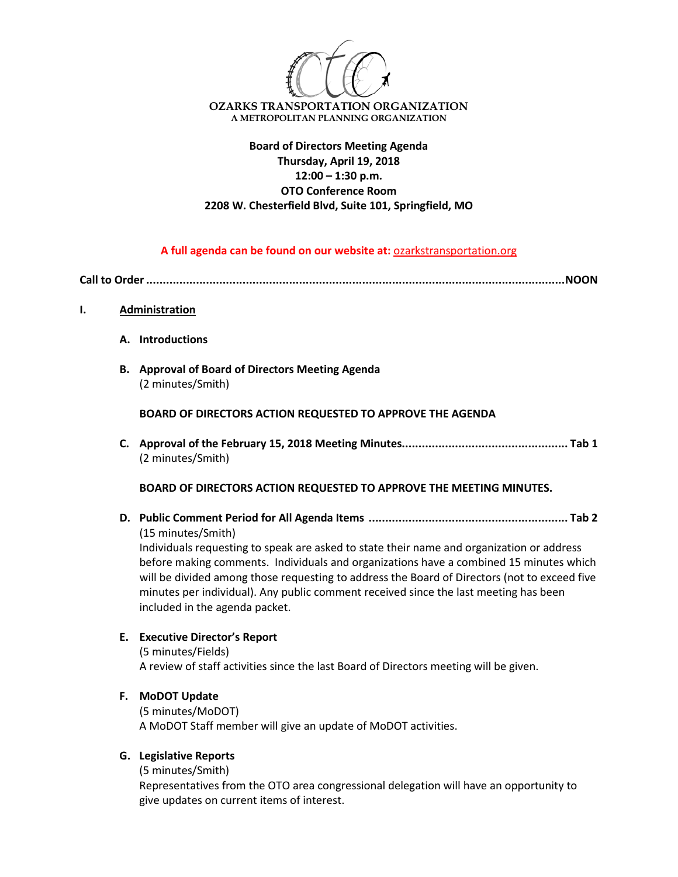

# **Board of Directors Meeting Agenda Thursday, April 19, 2018 12:00 – 1:30 p.m. OTO Conference Room 2208 W. Chesterfield Blvd, Suite 101, Springfield, MO**

## **A full agenda can be found on our website at:** ozarkstransportation.org

**Call to Order..............................................................................................................................NOON**

- **I. Administration**
	- **A. Introductions**
	- **B. Approval of Board of Directors Meeting Agenda** (2 minutes/Smith)

**BOARD OF DIRECTORS ACTION REQUESTED TO APPROVE THE AGENDA**

**C. Approval of the February 15, 2018 Meeting Minutes.................................................. Tab 1** (2 minutes/Smith)

**BOARD OF DIRECTORS ACTION REQUESTED TO APPROVE THE MEETING MINUTES.**

**D. Public Comment Period for All Agenda Items ............................................................ Tab 2** (15 minutes/Smith)

Individuals requesting to speak are asked to state their name and organization or address before making comments. Individuals and organizations have a combined 15 minutes which will be divided among those requesting to address the Board of Directors (not to exceed five minutes per individual). Any public comment received since the last meeting has been included in the agenda packet.

# **E. Executive Director's Report**

(5 minutes/Fields) A review of staff activities since the last Board of Directors meeting will be given.

## **F. MoDOT Update**

(5 minutes/MoDOT) A MoDOT Staff member will give an update of MoDOT activities.

# **G. Legislative Reports**

(5 minutes/Smith)

Representatives from the OTO area congressional delegation will have an opportunity to give updates on current items of interest.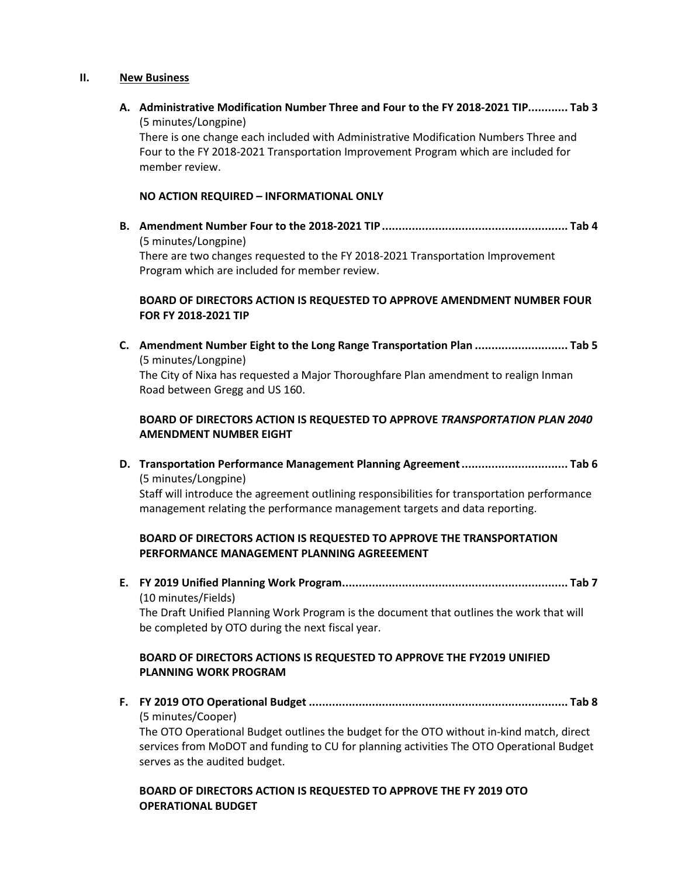### **II. New Business**

**A. Administrative Modification Number Three and Four to the FY 2018-2021 TIP............ Tab 3** (5 minutes/Longpine)

There is one change each included with Administrative Modification Numbers Three and Four to the FY 2018-2021 Transportation Improvement Program which are included for member review.

### **NO ACTION REQUIRED – INFORMATIONAL ONLY**

**B. Amendment Number Four to the 2018-2021 TIP........................................................ Tab 4** (5 minutes/Longpine) There are two changes requested to the FY 2018-2021 Transportation Improvement Program which are included for member review.

## **BOARD OF DIRECTORS ACTION IS REQUESTED TO APPROVE AMENDMENT NUMBER FOUR FOR FY 2018-2021 TIP**

**C. Amendment Number Eight to the Long Range Transportation Plan ............................ Tab 5** (5 minutes/Longpine) The City of Nixa has requested a Major Thoroughfare Plan amendment to realign Inman Road between Gregg and US 160.

## **BOARD OF DIRECTORS ACTION IS REQUESTED TO APPROVE** *TRANSPORTATION PLAN 2040*  **AMENDMENT NUMBER EIGHT**

**D. Transportation Performance Management Planning Agreement................................ Tab 6** (5 minutes/Longpine)

Staff will introduce the agreement outlining responsibilities for transportation performance management relating the performance management targets and data reporting.

## **BOARD OF DIRECTORS ACTION IS REQUESTED TO APPROVE THE TRANSPORTATION PERFORMANCE MANAGEMENT PLANNING AGREEEMENT**

**E. FY 2019 Unified Planning Work Program.................................................................... Tab 7** (10 minutes/Fields)

The Draft Unified Planning Work Program is the document that outlines the work that will be completed by OTO during the next fiscal year.

## **BOARD OF DIRECTORS ACTIONS IS REQUESTED TO APPROVE THE FY2019 UNIFIED PLANNING WORK PROGRAM**

**F. FY 2019 OTO Operational Budget .............................................................................. Tab 8** (5 minutes/Cooper)

The OTO Operational Budget outlines the budget for the OTO without in-kind match, direct services from MoDOT and funding to CU for planning activities The OTO Operational Budget serves as the audited budget.

## **BOARD OF DIRECTORS ACTION IS REQUESTED TO APPROVE THE FY 2019 OTO OPERATIONAL BUDGET**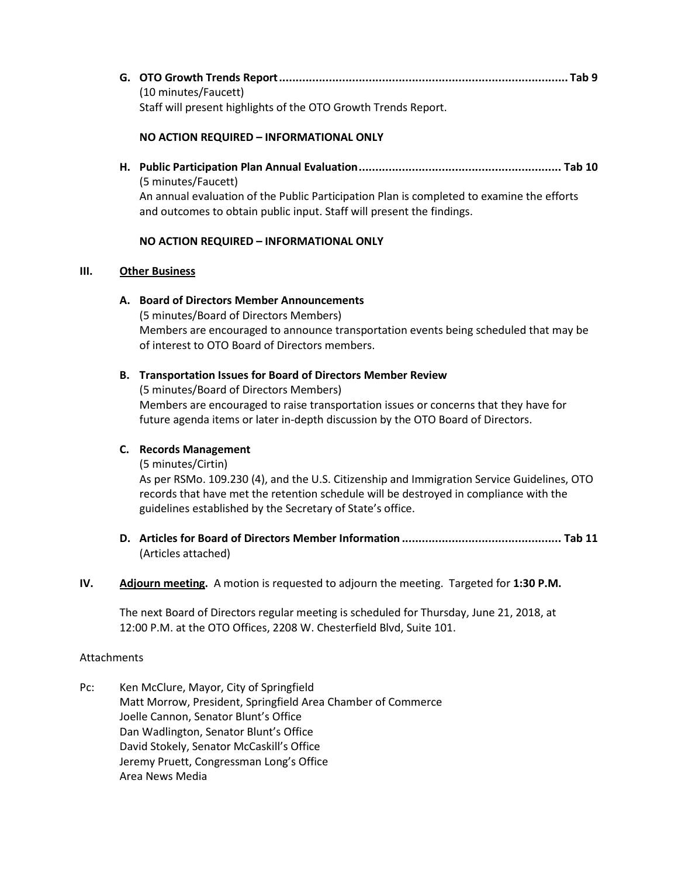**G. OTO Growth Trends Report....................................................................................... Tab 9** (10 minutes/Faucett) Staff will present highlights of the OTO Growth Trends Report.

### **NO ACTION REQUIRED – INFORMATIONAL ONLY**

**H. Public Participation Plan Annual Evaluation............................................................. Tab 10** (5 minutes/Faucett) An annual evaluation of the Public Participation Plan is completed to examine the efforts

and outcomes to obtain public input. Staff will present the findings.

### **NO ACTION REQUIRED – INFORMATIONAL ONLY**

### **III. Other Business**

### **A. Board of Directors Member Announcements**

(5 minutes/Board of Directors Members) Members are encouraged to announce transportation events being scheduled that may be of interest to OTO Board of Directors members.

### **B. Transportation Issues for Board of Directors Member Review**

(5 minutes/Board of Directors Members) Members are encouraged to raise transportation issues or concerns that they have for future agenda items or later in-depth discussion by the OTO Board of Directors.

#### **C. Records Management**

(5 minutes/Cirtin)

As per RSMo. 109.230 (4), and the U.S. Citizenship and Immigration Service Guidelines, OTO records that have met the retention schedule will be destroyed in compliance with the guidelines established by the Secretary of State's office.

**D. Articles for Board of Directors Member Information ................................................ Tab 11** (Articles attached)

## **IV. Adjourn meeting.** A motion is requested to adjourn the meeting. Targeted for **1:30 P.M.**

The next Board of Directors regular meeting is scheduled for Thursday, June 21, 2018, at 12:00 P.M. at the OTO Offices, 2208 W. Chesterfield Blvd, Suite 101.

#### Attachments

Pc: Ken McClure, Mayor, City of Springfield Matt Morrow, President, Springfield Area Chamber of Commerce Joelle Cannon, Senator Blunt's Office Dan Wadlington, Senator Blunt's Office David Stokely, Senator McCaskill's Office Jeremy Pruett, Congressman Long's Office Area News Media